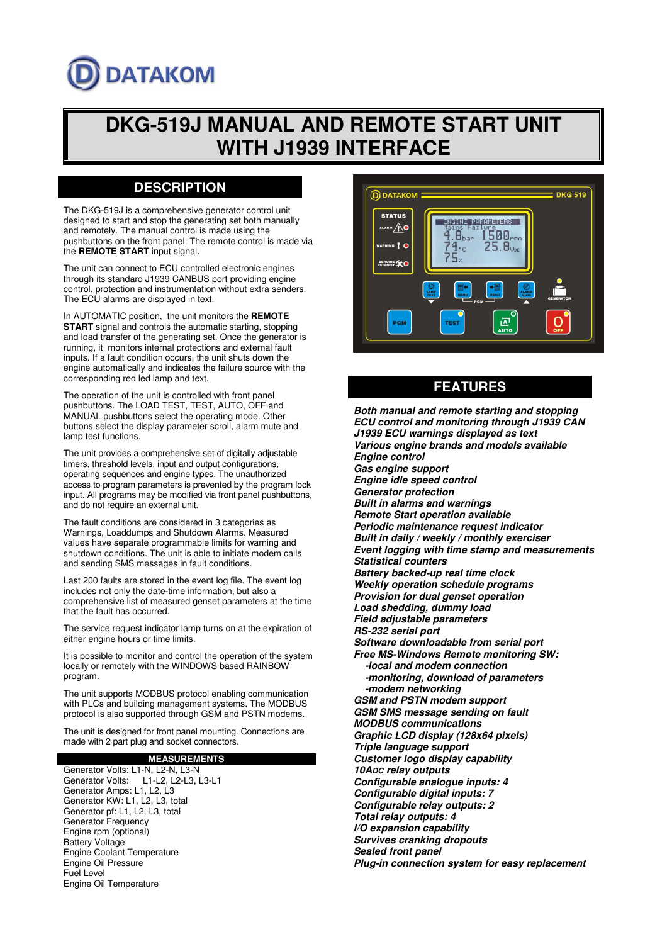# **DATAKOM**

# **DKG-519J MANUAL AND REMOTE START UNIT WITH J1939 INTERFACE**

# **DESCRIPTION**

The DKG-519J is a comprehensive generator control unit designed to start and stop the generating set both manually and remotely. The manual control is made using the pushbuttons on the front panel. The remote control is made via the **REMOTE START** input signal.

The unit can connect to ECU controlled electronic engines through its standard J1939 CANBUS port providing engine control, protection and instrumentation without extra senders. The ECU alarms are displayed in text.

In AUTOMATIC position, the unit monitors the **REMOTE START** signal and controls the automatic starting, stopping and load transfer of the generating set. Once the generator is running, it monitors internal protections and external fault inputs. If a fault condition occurs, the unit shuts down the engine automatically and indicates the failure source with the corresponding red led lamp and text.

The operation of the unit is controlled with front panel pushbuttons. The LOAD TEST, TEST, AUTO, OFF and MANUAL pushbuttons select the operating mode. Other buttons select the display parameter scroll, alarm mute and lamp test functions.

The unit provides a comprehensive set of digitally adjustable timers, threshold levels, input and output configurations, operating sequences and engine types. The unauthorized access to program parameters is prevented by the program lock input. All programs may be modified via front panel pushbuttons, and do not require an external unit.

The fault conditions are considered in 3 categories as Warnings, Loaddumps and Shutdown Alarms. Measured values have separate programmable limits for warning and shutdown conditions. The unit is able to initiate modem calls and sending SMS messages in fault conditions.

Last 200 faults are stored in the event log file. The event log includes not only the date-time information, but also a comprehensive list of measured genset parameters at the time that the fault has occurred.

The service request indicator lamp turns on at the expiration of either engine hours or time limits.

It is possible to monitor and control the operation of the system locally or remotely with the WINDOWS based RAINBOW program.

The unit supports MODBUS protocol enabling communication with PLCs and building management systems. The MODBUS protocol is also supported through GSM and PSTN modems.

The unit is designed for front panel mounting. Connections are made with 2 part plug and socket connectors.

#### **MEASUREMENTS**

Generator Volts: L1-N, L2-N, L3-N Generator Volts: L1-L2, L2-L3, L3-L1 Generator Amps: L1, L2, L3 Generator KW: L1, L2, L3, total Generator pf: L1, L2, L3, total Generator Frequency Engine rpm (optional) Battery Voltage Engine Coolant Temperature Engine Oil Pressure Fuel Level Engine Oil Temperature



## **FEATURES**

**Both manual and remote starting and stopping ECU control and monitoring through J1939 CAN J1939 ECU warnings displayed as text Various engine brands and models available Engine control Gas engine support Engine idle speed control Generator protection Built in alarms and warnings Remote Start operation available Periodic maintenance request indicator Built in daily / weekly / monthly exerciser Event logging with time stamp and measurements Statistical counters Battery backed-up real time clock Weekly operation schedule programs Provision for dual genset operation Load shedding, dummy load Field adjustable parameters RS-232 serial port Software downloadable from serial port Free MS-Windows Remote monitoring SW: -local and modem connection -monitoring, download of parameters -modem networking GSM and PSTN modem support GSM SMS message sending on fault MODBUS communications Graphic LCD display (128x64 pixels) Triple language support Customer logo display capability 10ADC relay outputs Configurable analogue inputs: 4 Configurable digital inputs: 7 Configurable relay outputs: 2 Total relay outputs: 4 I/O expansion capability Survives cranking dropouts Sealed front panel Plug-in connection system for easy replacement**